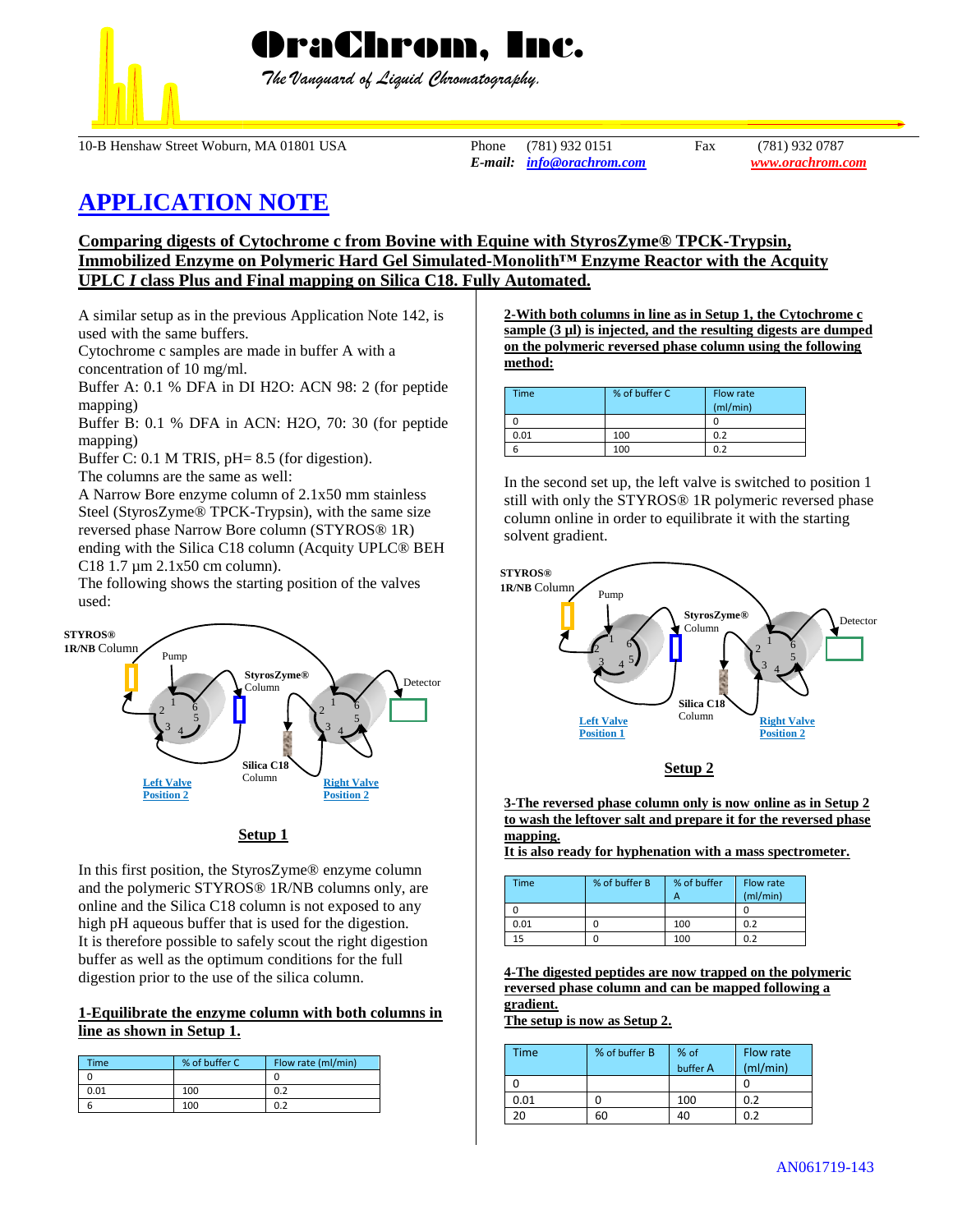

OraChrom, Inc.

 *The Vanguard of Liquid Chromatography.*

10-B Henshaw Street Woburn, MA 01801 USA Phone (781) 932 0151 Fax (781) 932 0787

*E-mail: [info@orachrom.com](mailto:info@orachrom.com) www.orachrom.com*

# **APPLICATION NOTE**

**Comparing digests of Cytochrome c from Bovine with Equine with StyrosZyme® TPCK-Trypsin, Immobilized Enzyme on Polymeric Hard Gel Simulated-Monolith™ Enzyme Reactor with the Acquity UPLC** *I* **class Plus and Final mapping on Silica C18. Fully Automated.**

A similar setup as in the previous Application Note 142, is used with the same buffers.

Cytochrome c samples are made in buffer A with a

concentration of 10 mg/ml.

Buffer A: 0.1 % DFA in DI H2O: ACN 98: 2 (for peptide mapping)

Buffer B: 0.1 % DFA in ACN: H2O, 70: 30 (for peptide mapping)

Buffer C: 0.1 M TRIS, pH= 8.5 (for digestion).

The columns are the same as well:

A Narrow Bore enzyme column of 2.1x50 mm stainless Steel (StyrosZyme® TPCK-Trypsin), with the same size reversed phase Narrow Bore column (STYROS® 1R) ending with the Silica C18 column (Acquity UPLC® BEH C18 1.7 µm 2.1x50 cm column).

The following shows the starting position of the valves used:



# **Setup 1**

In this first position, the StyrosZyme® enzyme column and the polymeric STYROS® 1R/NB columns only, are online and the Silica C18 column is not exposed to any high pH aqueous buffer that is used for the digestion. It is therefore possible to safely scout the right digestion buffer as well as the optimum conditions for the full digestion prior to the use of the silica column.

### **1-Equilibrate the enzyme column with both columns in line as shown in Setup 1.**

| Time | % of buffer C | Flow rate (ml/min) |
|------|---------------|--------------------|
|      |               |                    |
| 0.01 | 100           | 0.2                |
|      | 100           |                    |

**2-With both columns in line as in Setup 1, the Cytochrome c sample (3 µl) is injected, and the resulting digests are dumped on the polymeric reversed phase column using the following method:**

| <b>Time</b> | % of buffer C | Flow rate<br>(ml/min) |
|-------------|---------------|-----------------------|
|             |               |                       |
| 0.01        | 100           | 0.2                   |
|             | 100           | 0.2                   |

In the second set up, the left valve is switched to position 1 still with only the STYROS® 1R polymeric reversed phase column online in order to equilibrate it with the starting solvent gradient.





**3-The reversed phase column only is now online as in Setup 2 to wash the leftover salt and prepare it for the reversed phase mapping.** 

**It is also ready for hyphenation with a mass spectrometer.** 

| Time | % of buffer B | % of buffer<br>А | Flow rate<br>(mI/min) |
|------|---------------|------------------|-----------------------|
|      |               |                  |                       |
| 0.01 |               | 100              | 0.2                   |
| 15   |               | 100              | 0.2                   |

**4-The digested peptides are now trapped on the polymeric reversed phase column and can be mapped following a gradient.**

**The setup is now as Setup 2.**

| Time | % of buffer B | % of<br>buffer A | Flow rate<br>(mI/min) |
|------|---------------|------------------|-----------------------|
|      |               |                  |                       |
| 0.01 |               | 100              | 0.2                   |
| 20   | 60            |                  | በ ን                   |